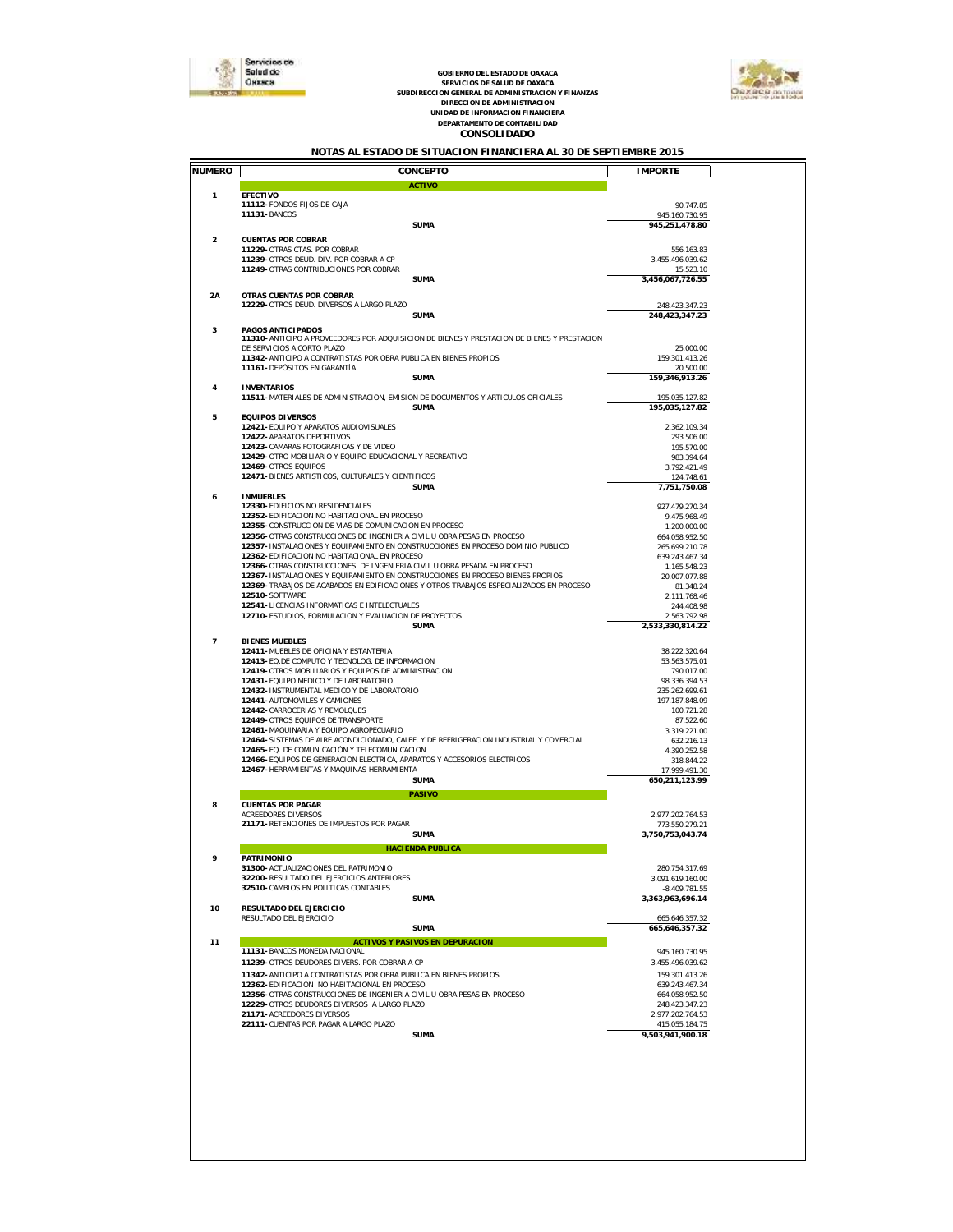

# GOBIERNO DEL ESTADO DE OAXACA<br>SERVICIOS DE SALUD DE OAXACA<br>SUBDIRECCION GENERAL DE ADMINISTRACION<br>DIRECCION DE ADMINISTRACION<br>UNIDAD DE INFORMACION FINANCIERA<br>DEPARTAMENTO DE CONTABILIDAD<br>CONSOLI DADO



#### *NOTAS AL ESTADO DE SITUACION FINANCIERA AL 30 DE SEPTIEMBRE 2015*

| NUMERO                  | CONCEPTO                                                                                                                  | <b>IMPORTE</b>                       |  |
|-------------------------|---------------------------------------------------------------------------------------------------------------------------|--------------------------------------|--|
| 1                       | <b>ACTIVO</b><br>EFECTIVO                                                                                                 |                                      |  |
|                         | 11112- FONDOS FIJOS DE CAJA                                                                                               | 90,747.85                            |  |
|                         | 11131-BANCOS                                                                                                              | 945, 160, 730.95                     |  |
|                         | <b>SUMA</b>                                                                                                               | 945,251,478.80                       |  |
| $\overline{\mathbf{2}}$ | <b>CUENTAS POR COBRAR</b>                                                                                                 |                                      |  |
|                         | 11229- OTRAS CTAS. POR COBRAR<br>11239- OTROS DEUD. DIV. POR COBRAR A CP                                                  | 556, 163.83<br>3,455,496,039.62      |  |
|                         | 11249- OTRAS CONTRIBUCIONES POR COBRAR                                                                                    | 15,523.10                            |  |
|                         | <b>SUMA</b>                                                                                                               | 3,456,067,726.55                     |  |
| 2A                      | OTRAS CUENTAS POR COBRAR                                                                                                  |                                      |  |
|                         | 12229- OTROS DEUD. DIVERSOS A LARGO PLAZO                                                                                 | 248, 423, 347. 23                    |  |
|                         | <b>SUMA</b>                                                                                                               | 248,423,347.23                       |  |
| 3                       | PAGOS ANTICIPADOS                                                                                                         |                                      |  |
|                         | 11310- ANTICIPO A PROVEEDORES POR ADQUISICION DE BIENES Y PRESTACION DE BIENES Y PRESTACION<br>DE SERVICIOS A CORTO PLAZO |                                      |  |
|                         | 11342- ANTICIPO A CONTRATISTAS POR OBRA PUBLICA EN BIENES PROPIOS                                                         | 25,000.00<br>159, 301, 413.26        |  |
|                         | 11161-DEPÓSITOS EN GARANTÍA                                                                                               | 20,500.00                            |  |
|                         | SUMA                                                                                                                      | 159,346,913.26                       |  |
| $\overline{4}$          | <b>INVENTARIOS</b><br>11511-MATERIALES DE ADMINISTRACION, EMISION DE DOCUMENTOS Y ARTICULOS OFICIALES                     | 195,035,127.82                       |  |
|                         | <b>SUMA</b>                                                                                                               | 195,035,127.82                       |  |
| 5                       | EQUIPOS DIVERSOS                                                                                                          |                                      |  |
|                         | 12421- EQUIPO Y APARATOS AUDIOVISUALES                                                                                    | 2,362,109.34                         |  |
|                         | 12422- APARATOS DEPORTIVOS<br>12423-CAMARAS FOTOGRAFICAS Y DE VIDEO                                                       | 293,506.00                           |  |
|                         | 12429- OTRO MOBILIARIO Y EQUIPO EDUCACIONAL Y RECREATIVO                                                                  | 195,570.00<br>983,394.64             |  |
|                         | 12469-OTROS EQUIPOS                                                                                                       | 3.792.421.49                         |  |
|                         | 12471-BIENES ARTISTICOS, CULTURALES Y CIENTIFICOS                                                                         | 124,748.61                           |  |
|                         | <b>SUMA</b>                                                                                                               | 7,751,750.08                         |  |
| 6                       | <b>INMUEBLES</b><br>12330-EDIFICIOS NO RESIDENCIALES                                                                      | 927,479,270.34                       |  |
|                         | 12352-EDIFICACION NO HABITACIONAL EN PROCESO                                                                              | 9,475,968.49                         |  |
|                         | 12355- CONSTRUCCION DE VIAS DE COMUNICACIÓN EN PROCESO                                                                    | 1,200,000.00                         |  |
|                         | 12356- OTRAS CONSTRUCCIONES DE INGENIERIA CIVIL U OBRA PESAS EN PROCESO                                                   | 664.058.952.50                       |  |
|                         | 12357- INSTALACIONES Y EQUIPAMIENTO EN CONSTRUCCIONES EN PROCESO DOMINIO PUBLICO                                          | 265,699,210.78                       |  |
|                         | 12362-EDIFICACION NO HABITACIONAL EN PROCESO<br>12366- OTRAS CONSTRUCCIONES DE INGENIERIA CIVIL U OBRA PESADA EN PROCESO  | 639, 243, 467. 34<br>1,165,548.23    |  |
|                         | 12367-INSTALACIONES Y EQUIPAMIENTO EN CONSTRUCCIONES EN PROCESO BIENES PROPIOS                                            | 20,007,077.88                        |  |
|                         | 12369-TRABAJOS DE ACABADOS EN EDIFICACIONES Y OTROS TRABAJOS ESPECIALIZADOS EN PROCESO                                    | 81,348.24                            |  |
|                         | 12510-SOFTWARE                                                                                                            | 2,111,768.46                         |  |
|                         | 12541-LICENCIAS INFORMATICAS E INTELECTUALES                                                                              | 244,408.98                           |  |
|                         | 12710-ESTUDIOS, FORMULACION Y EVALUACION DE PROYECTOS<br><b>SUMA</b>                                                      | 2,563,792.98<br>2,533,330,814.22     |  |
|                         |                                                                                                                           |                                      |  |
| 7                       | <b>BIENES MUEBLES</b><br>12411-MUEBLES DE OFICINA Y ESTANTERIA                                                            |                                      |  |
|                         | 12413- EQ.DE COMPUTO Y TECNOLOG. DE INFORMACION                                                                           | 38,222,320.64<br>53,563,575.01       |  |
|                         | 12419- OTROS MOBILIARIOS Y EQUIPOS DE ADMINISTRACION                                                                      | 790,017.00                           |  |
|                         | 12431- EQUIPO MEDICO Y DE LABORATORIO                                                                                     | 98,336,394.53                        |  |
|                         | 12432- INSTRUMENTAL MEDICO Y DE LABORATORIO                                                                               | 235, 262, 699.61                     |  |
|                         | 12441- AUTOMOVILES Y CAMIONES<br>12442- CARROCERIAS Y REMOLQUES                                                           | 197, 187, 848.09                     |  |
|                         | 12449- OTROS EQUIPOS DE TRANSPORTE                                                                                        | 100,721.28<br>87,522.60              |  |
|                         | 12461-MAQUINARIA Y EQUIPO AGROPECUARIO                                                                                    | 3,319,221.00                         |  |
|                         | 12464-SISTEMAS DE AIRE ACONDICIONADO, CALEF. Y DE REFRIGERACION INDUSTRIAL Y COMERCIAL                                    | 632,216.13                           |  |
|                         | 12465-EQ. DE COMUNICACIÓN Y TELECOMUNICACION                                                                              | 4,390,252.58                         |  |
|                         | 12466-EQUIPOS DE GENERACION ELECTRICA, APARATOS Y ACCESORIOS ELECTRICOS<br>12467- HERRAMIENTAS Y MAQUINAS-HERRAMIENTA     | 318,844.22<br>17,999,491.30          |  |
|                         | <b>SUMA</b>                                                                                                               | 650,211,123.99                       |  |
|                         | PASIVO                                                                                                                    |                                      |  |
| 8                       | <b>CUENTAS POR PAGAR</b>                                                                                                  |                                      |  |
|                         | ACREEDORES DIVERSOS                                                                                                       | 2.977.202.764.53                     |  |
|                         | 21171-RETENCIONES DE IMPUESTOS POR PAGAR                                                                                  | 773,550,279.21                       |  |
|                         | SUMA                                                                                                                      | 3,750,753,043.74                     |  |
|                         | HACI ENDA PUBLICA                                                                                                         |                                      |  |
|                         | <b>PATRIMONIO</b><br>31300- ACTUALIZACIONES DEL PATRIMONIO                                                                |                                      |  |
|                         | 32200- RESULTADO DEL EJERCICIOS ANTERIORES                                                                                | 280, 754, 317.69<br>3,091,619,160.00 |  |
|                         | 32510- CAMBIOS EN POLITICAS CONTABLES                                                                                     | $-8,409,781.55$                      |  |
|                         | <b>SUMA</b>                                                                                                               | 3.363.963.696.14                     |  |
| 10                      | RESULTADO DEL EJERCICIO                                                                                                   |                                      |  |
|                         | RESULTADO DEL EJERCICIO<br>SUMA                                                                                           | 665,646,357.32<br>665,646,357.32     |  |
|                         |                                                                                                                           |                                      |  |
| 11                      | ACTIVOS Y PASIVOS EN DEPURACION<br>11131- BANCOS MONEDA NACIONAL                                                          | 945.160.730.95                       |  |
|                         | 11239- OTROS DEUDORES DIVERS. POR COBRAR A CP                                                                             | 3,455,496,039.62                     |  |
|                         | 11342- ANTICIPO A CONTRATISTAS POR OBRA PUBLICA EN BIENES PROPIOS                                                         | 159, 301, 413.26                     |  |
|                         | 12362-EDIFICACION NO HABITACIONAL EN PROCESO                                                                              | 639,243,467.34                       |  |
|                         | 12356- OTRAS CONSTRUCCIONES DE INGENIERIA CIVIL U OBRA PESAS EN PROCESO                                                   | 664,058,952.50                       |  |
|                         | 12229- OTROS DEUDORES DIVERSOS A LARGO PLAZO                                                                              | 248, 423, 347. 23                    |  |
|                         | 21171-ACREEDORES DIVERSOS                                                                                                 | 2,977,202,764.53<br>415,055,184.75   |  |
|                         |                                                                                                                           | 9,503,941,900.18                     |  |
|                         |                                                                                                                           |                                      |  |
|                         |                                                                                                                           |                                      |  |
|                         | 22111- CUENTAS POR PAGAR A LARGO PLAZO<br>SUMA                                                                            |                                      |  |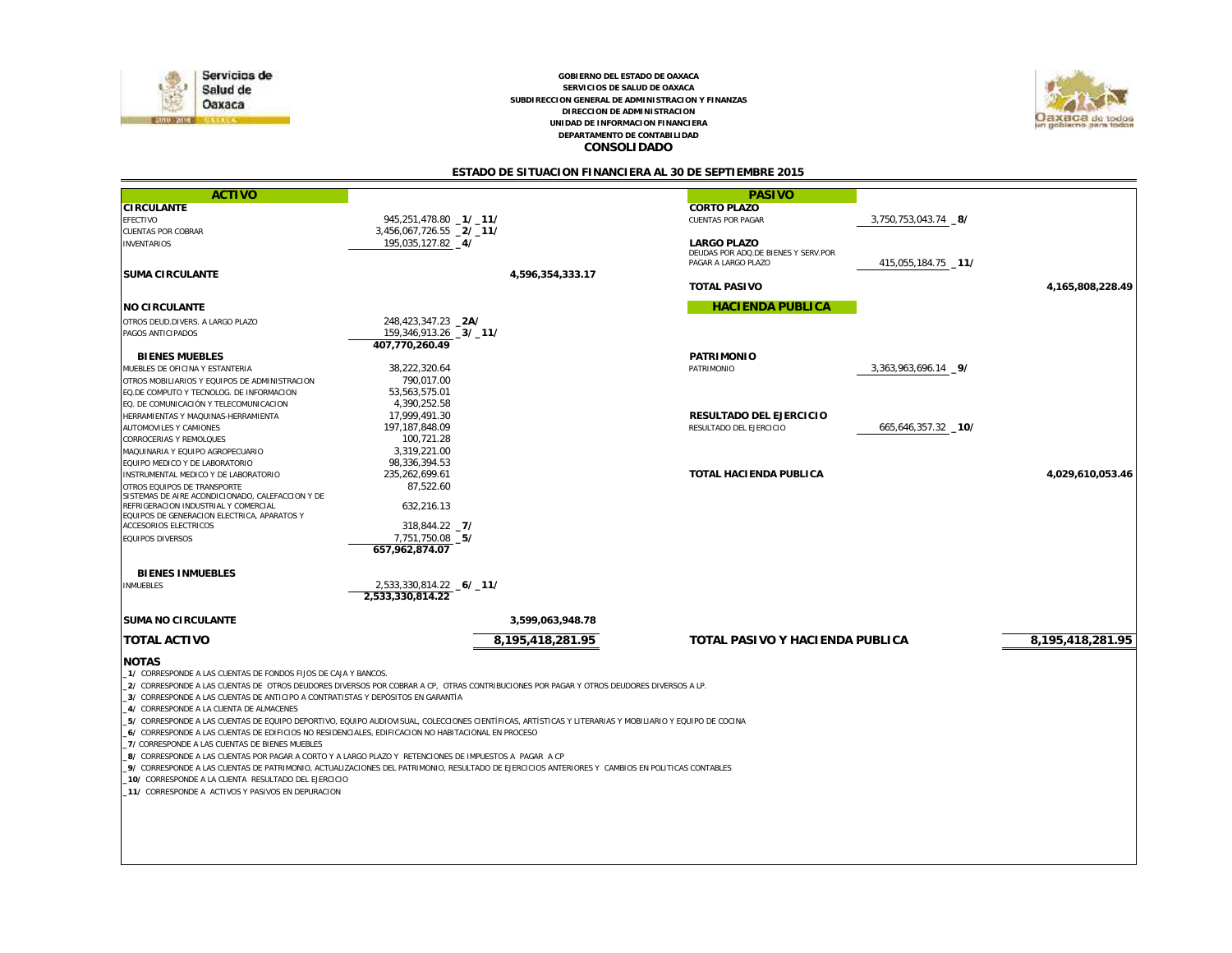

*CONSOLIDADO DEPARTAMENTO DE CONTABILIDAD GOBIERNO DEL ESTADO DE OAXACA SERVICIOS DE SALUD DE OAXACA SUBDIRECCION GENERAL DE ADMINISTRACION Y FINANZAS DIRECCION DE ADMINISTRACION UNIDAD DE INFORMACION FINANCIERA*



*ESTADO DE SITUACION FINANCIERA AL 30 DE SEPTIEMBRE 2015*

| <b>ACTIVO</b><br><b>PASIVO</b><br><b>CIRCULANTE</b><br>CORTO PLAZO<br>945,251,478.80 -1/-11/<br>3,750,753,043.74 _8/<br>EFECTIVO<br><b>CUENTAS POR PAGAR</b><br>3,456,067,726.55 _2/_11/<br><b>CUENTAS POR COBRAR</b><br>195,035,127.82 _4/<br><b>LARGO PLAZO</b><br><b>INVENTARIOS</b><br>DEUDAS POR ADQ.DE BIENES Y SERV.POR<br>PAGAR A LARGO PLAZO<br>415,055,184.75 _11/<br><b>SUMA CIRCULANTE</b><br>4.596.354.333.17<br><b>TOTAL PASIVO</b><br>4,165,808,228.49<br><b>HACIENDA PUBLICA</b><br>NO CIRCULANTE<br>248,423,347.23 _2A/<br>OTROS DEUD.DIVERS. A LARGO PLAZO<br>159,346,913.26 _3/_11/<br>PAGOS ANTICIPADOS<br>407.770.260.49<br><b>BIENES MUEBLES</b><br>PATRIMONIO<br>38,222,320.64<br>3,363,963,696.14 _9/<br>MUEBLES DE OFICINA Y ESTANTERIA<br>PATRIMONIO<br>790,017.00<br>OTROS MOBILIARIOS Y EQUIPOS DE ADMINISTRACION<br>53,563,575.01<br>EQ.DE COMPUTO Y TECNOLOG. DE INFORMACION<br>4,390,252.58<br>EQ. DE COMUNICACIÓN Y TELECOMUNICACION<br>RESULTADO DEL EJERCICIO<br>17,999,491.30<br>HERRAMIENTAS Y MAQUINAS-HERRAMIENTA<br>197, 187, 848.09<br>665,646,357.32 10/<br>AUTOMOVILES Y CAMIONES<br>RESULTADO DEL EJERCICIO<br>100,721.28<br>CORROCERIAS Y REMOLQUES<br>3,319,221.00<br>MAQUINARIA Y EQUIPO AGROPECUARIO<br>98,336,394.53<br>EQUIPO MEDICO Y DE LABORATORIO<br>235,262,699.61<br>TOTAL HACIENDA PUBLICA<br>4.029.610.053.46<br>INSTRUMENTAL MEDICO Y DE LABORATORIO<br>87,522.60<br>OTROS EQUIPOS DE TRANSPORTE<br>SISTEMAS DE AIRE ACONDICIONADO, CALEFACCION Y DE<br>REFRIGERACION INDUSTRIAL Y COMERCIAL<br>632.216.13<br>EQUIPOS DE GENERACION ELECTRICA. APARATOS Y<br>318,844.22 7/<br><b>ACCESORIOS ELECTRICOS</b><br>7,751,750.08 _5/<br><b>EQUIPOS DIVERSOS</b><br>657.962.874.07<br><b>BIENES INMUEBLES</b><br>2,533,330,814.22 6/ 11/<br><b>INMUEBLES</b><br>2.533.330.814.22<br>SUMA NO CIRCULANTE<br>3,599,063,948.78<br>TOTAL ACTIVO<br>8,195,418,281.95<br>TOTAL PASIVO Y HACIENDA PUBLICA<br>8,195,418,281.95<br><b>NOTAS</b> |  |  |  |  |  |  |
|------------------------------------------------------------------------------------------------------------------------------------------------------------------------------------------------------------------------------------------------------------------------------------------------------------------------------------------------------------------------------------------------------------------------------------------------------------------------------------------------------------------------------------------------------------------------------------------------------------------------------------------------------------------------------------------------------------------------------------------------------------------------------------------------------------------------------------------------------------------------------------------------------------------------------------------------------------------------------------------------------------------------------------------------------------------------------------------------------------------------------------------------------------------------------------------------------------------------------------------------------------------------------------------------------------------------------------------------------------------------------------------------------------------------------------------------------------------------------------------------------------------------------------------------------------------------------------------------------------------------------------------------------------------------------------------------------------------------------------------------------------------------------------------------------------------------------------------------------------------------------------------------------------------------------------------------------------------------------------------|--|--|--|--|--|--|
|                                                                                                                                                                                                                                                                                                                                                                                                                                                                                                                                                                                                                                                                                                                                                                                                                                                                                                                                                                                                                                                                                                                                                                                                                                                                                                                                                                                                                                                                                                                                                                                                                                                                                                                                                                                                                                                                                                                                                                                          |  |  |  |  |  |  |
|                                                                                                                                                                                                                                                                                                                                                                                                                                                                                                                                                                                                                                                                                                                                                                                                                                                                                                                                                                                                                                                                                                                                                                                                                                                                                                                                                                                                                                                                                                                                                                                                                                                                                                                                                                                                                                                                                                                                                                                          |  |  |  |  |  |  |
|                                                                                                                                                                                                                                                                                                                                                                                                                                                                                                                                                                                                                                                                                                                                                                                                                                                                                                                                                                                                                                                                                                                                                                                                                                                                                                                                                                                                                                                                                                                                                                                                                                                                                                                                                                                                                                                                                                                                                                                          |  |  |  |  |  |  |
|                                                                                                                                                                                                                                                                                                                                                                                                                                                                                                                                                                                                                                                                                                                                                                                                                                                                                                                                                                                                                                                                                                                                                                                                                                                                                                                                                                                                                                                                                                                                                                                                                                                                                                                                                                                                                                                                                                                                                                                          |  |  |  |  |  |  |
|                                                                                                                                                                                                                                                                                                                                                                                                                                                                                                                                                                                                                                                                                                                                                                                                                                                                                                                                                                                                                                                                                                                                                                                                                                                                                                                                                                                                                                                                                                                                                                                                                                                                                                                                                                                                                                                                                                                                                                                          |  |  |  |  |  |  |
|                                                                                                                                                                                                                                                                                                                                                                                                                                                                                                                                                                                                                                                                                                                                                                                                                                                                                                                                                                                                                                                                                                                                                                                                                                                                                                                                                                                                                                                                                                                                                                                                                                                                                                                                                                                                                                                                                                                                                                                          |  |  |  |  |  |  |
|                                                                                                                                                                                                                                                                                                                                                                                                                                                                                                                                                                                                                                                                                                                                                                                                                                                                                                                                                                                                                                                                                                                                                                                                                                                                                                                                                                                                                                                                                                                                                                                                                                                                                                                                                                                                                                                                                                                                                                                          |  |  |  |  |  |  |
|                                                                                                                                                                                                                                                                                                                                                                                                                                                                                                                                                                                                                                                                                                                                                                                                                                                                                                                                                                                                                                                                                                                                                                                                                                                                                                                                                                                                                                                                                                                                                                                                                                                                                                                                                                                                                                                                                                                                                                                          |  |  |  |  |  |  |
|                                                                                                                                                                                                                                                                                                                                                                                                                                                                                                                                                                                                                                                                                                                                                                                                                                                                                                                                                                                                                                                                                                                                                                                                                                                                                                                                                                                                                                                                                                                                                                                                                                                                                                                                                                                                                                                                                                                                                                                          |  |  |  |  |  |  |
|                                                                                                                                                                                                                                                                                                                                                                                                                                                                                                                                                                                                                                                                                                                                                                                                                                                                                                                                                                                                                                                                                                                                                                                                                                                                                                                                                                                                                                                                                                                                                                                                                                                                                                                                                                                                                                                                                                                                                                                          |  |  |  |  |  |  |
|                                                                                                                                                                                                                                                                                                                                                                                                                                                                                                                                                                                                                                                                                                                                                                                                                                                                                                                                                                                                                                                                                                                                                                                                                                                                                                                                                                                                                                                                                                                                                                                                                                                                                                                                                                                                                                                                                                                                                                                          |  |  |  |  |  |  |
|                                                                                                                                                                                                                                                                                                                                                                                                                                                                                                                                                                                                                                                                                                                                                                                                                                                                                                                                                                                                                                                                                                                                                                                                                                                                                                                                                                                                                                                                                                                                                                                                                                                                                                                                                                                                                                                                                                                                                                                          |  |  |  |  |  |  |
|                                                                                                                                                                                                                                                                                                                                                                                                                                                                                                                                                                                                                                                                                                                                                                                                                                                                                                                                                                                                                                                                                                                                                                                                                                                                                                                                                                                                                                                                                                                                                                                                                                                                                                                                                                                                                                                                                                                                                                                          |  |  |  |  |  |  |
|                                                                                                                                                                                                                                                                                                                                                                                                                                                                                                                                                                                                                                                                                                                                                                                                                                                                                                                                                                                                                                                                                                                                                                                                                                                                                                                                                                                                                                                                                                                                                                                                                                                                                                                                                                                                                                                                                                                                                                                          |  |  |  |  |  |  |
|                                                                                                                                                                                                                                                                                                                                                                                                                                                                                                                                                                                                                                                                                                                                                                                                                                                                                                                                                                                                                                                                                                                                                                                                                                                                                                                                                                                                                                                                                                                                                                                                                                                                                                                                                                                                                                                                                                                                                                                          |  |  |  |  |  |  |
|                                                                                                                                                                                                                                                                                                                                                                                                                                                                                                                                                                                                                                                                                                                                                                                                                                                                                                                                                                                                                                                                                                                                                                                                                                                                                                                                                                                                                                                                                                                                                                                                                                                                                                                                                                                                                                                                                                                                                                                          |  |  |  |  |  |  |
|                                                                                                                                                                                                                                                                                                                                                                                                                                                                                                                                                                                                                                                                                                                                                                                                                                                                                                                                                                                                                                                                                                                                                                                                                                                                                                                                                                                                                                                                                                                                                                                                                                                                                                                                                                                                                                                                                                                                                                                          |  |  |  |  |  |  |
|                                                                                                                                                                                                                                                                                                                                                                                                                                                                                                                                                                                                                                                                                                                                                                                                                                                                                                                                                                                                                                                                                                                                                                                                                                                                                                                                                                                                                                                                                                                                                                                                                                                                                                                                                                                                                                                                                                                                                                                          |  |  |  |  |  |  |
|                                                                                                                                                                                                                                                                                                                                                                                                                                                                                                                                                                                                                                                                                                                                                                                                                                                                                                                                                                                                                                                                                                                                                                                                                                                                                                                                                                                                                                                                                                                                                                                                                                                                                                                                                                                                                                                                                                                                                                                          |  |  |  |  |  |  |
|                                                                                                                                                                                                                                                                                                                                                                                                                                                                                                                                                                                                                                                                                                                                                                                                                                                                                                                                                                                                                                                                                                                                                                                                                                                                                                                                                                                                                                                                                                                                                                                                                                                                                                                                                                                                                                                                                                                                                                                          |  |  |  |  |  |  |
|                                                                                                                                                                                                                                                                                                                                                                                                                                                                                                                                                                                                                                                                                                                                                                                                                                                                                                                                                                                                                                                                                                                                                                                                                                                                                                                                                                                                                                                                                                                                                                                                                                                                                                                                                                                                                                                                                                                                                                                          |  |  |  |  |  |  |
|                                                                                                                                                                                                                                                                                                                                                                                                                                                                                                                                                                                                                                                                                                                                                                                                                                                                                                                                                                                                                                                                                                                                                                                                                                                                                                                                                                                                                                                                                                                                                                                                                                                                                                                                                                                                                                                                                                                                                                                          |  |  |  |  |  |  |
|                                                                                                                                                                                                                                                                                                                                                                                                                                                                                                                                                                                                                                                                                                                                                                                                                                                                                                                                                                                                                                                                                                                                                                                                                                                                                                                                                                                                                                                                                                                                                                                                                                                                                                                                                                                                                                                                                                                                                                                          |  |  |  |  |  |  |
|                                                                                                                                                                                                                                                                                                                                                                                                                                                                                                                                                                                                                                                                                                                                                                                                                                                                                                                                                                                                                                                                                                                                                                                                                                                                                                                                                                                                                                                                                                                                                                                                                                                                                                                                                                                                                                                                                                                                                                                          |  |  |  |  |  |  |
|                                                                                                                                                                                                                                                                                                                                                                                                                                                                                                                                                                                                                                                                                                                                                                                                                                                                                                                                                                                                                                                                                                                                                                                                                                                                                                                                                                                                                                                                                                                                                                                                                                                                                                                                                                                                                                                                                                                                                                                          |  |  |  |  |  |  |
|                                                                                                                                                                                                                                                                                                                                                                                                                                                                                                                                                                                                                                                                                                                                                                                                                                                                                                                                                                                                                                                                                                                                                                                                                                                                                                                                                                                                                                                                                                                                                                                                                                                                                                                                                                                                                                                                                                                                                                                          |  |  |  |  |  |  |
|                                                                                                                                                                                                                                                                                                                                                                                                                                                                                                                                                                                                                                                                                                                                                                                                                                                                                                                                                                                                                                                                                                                                                                                                                                                                                                                                                                                                                                                                                                                                                                                                                                                                                                                                                                                                                                                                                                                                                                                          |  |  |  |  |  |  |
|                                                                                                                                                                                                                                                                                                                                                                                                                                                                                                                                                                                                                                                                                                                                                                                                                                                                                                                                                                                                                                                                                                                                                                                                                                                                                                                                                                                                                                                                                                                                                                                                                                                                                                                                                                                                                                                                                                                                                                                          |  |  |  |  |  |  |
|                                                                                                                                                                                                                                                                                                                                                                                                                                                                                                                                                                                                                                                                                                                                                                                                                                                                                                                                                                                                                                                                                                                                                                                                                                                                                                                                                                                                                                                                                                                                                                                                                                                                                                                                                                                                                                                                                                                                                                                          |  |  |  |  |  |  |
|                                                                                                                                                                                                                                                                                                                                                                                                                                                                                                                                                                                                                                                                                                                                                                                                                                                                                                                                                                                                                                                                                                                                                                                                                                                                                                                                                                                                                                                                                                                                                                                                                                                                                                                                                                                                                                                                                                                                                                                          |  |  |  |  |  |  |
|                                                                                                                                                                                                                                                                                                                                                                                                                                                                                                                                                                                                                                                                                                                                                                                                                                                                                                                                                                                                                                                                                                                                                                                                                                                                                                                                                                                                                                                                                                                                                                                                                                                                                                                                                                                                                                                                                                                                                                                          |  |  |  |  |  |  |
|                                                                                                                                                                                                                                                                                                                                                                                                                                                                                                                                                                                                                                                                                                                                                                                                                                                                                                                                                                                                                                                                                                                                                                                                                                                                                                                                                                                                                                                                                                                                                                                                                                                                                                                                                                                                                                                                                                                                                                                          |  |  |  |  |  |  |
|                                                                                                                                                                                                                                                                                                                                                                                                                                                                                                                                                                                                                                                                                                                                                                                                                                                                                                                                                                                                                                                                                                                                                                                                                                                                                                                                                                                                                                                                                                                                                                                                                                                                                                                                                                                                                                                                                                                                                                                          |  |  |  |  |  |  |
|                                                                                                                                                                                                                                                                                                                                                                                                                                                                                                                                                                                                                                                                                                                                                                                                                                                                                                                                                                                                                                                                                                                                                                                                                                                                                                                                                                                                                                                                                                                                                                                                                                                                                                                                                                                                                                                                                                                                                                                          |  |  |  |  |  |  |
|                                                                                                                                                                                                                                                                                                                                                                                                                                                                                                                                                                                                                                                                                                                                                                                                                                                                                                                                                                                                                                                                                                                                                                                                                                                                                                                                                                                                                                                                                                                                                                                                                                                                                                                                                                                                                                                                                                                                                                                          |  |  |  |  |  |  |
|                                                                                                                                                                                                                                                                                                                                                                                                                                                                                                                                                                                                                                                                                                                                                                                                                                                                                                                                                                                                                                                                                                                                                                                                                                                                                                                                                                                                                                                                                                                                                                                                                                                                                                                                                                                                                                                                                                                                                                                          |  |  |  |  |  |  |
|                                                                                                                                                                                                                                                                                                                                                                                                                                                                                                                                                                                                                                                                                                                                                                                                                                                                                                                                                                                                                                                                                                                                                                                                                                                                                                                                                                                                                                                                                                                                                                                                                                                                                                                                                                                                                                                                                                                                                                                          |  |  |  |  |  |  |
|                                                                                                                                                                                                                                                                                                                                                                                                                                                                                                                                                                                                                                                                                                                                                                                                                                                                                                                                                                                                                                                                                                                                                                                                                                                                                                                                                                                                                                                                                                                                                                                                                                                                                                                                                                                                                                                                                                                                                                                          |  |  |  |  |  |  |
|                                                                                                                                                                                                                                                                                                                                                                                                                                                                                                                                                                                                                                                                                                                                                                                                                                                                                                                                                                                                                                                                                                                                                                                                                                                                                                                                                                                                                                                                                                                                                                                                                                                                                                                                                                                                                                                                                                                                                                                          |  |  |  |  |  |  |
|                                                                                                                                                                                                                                                                                                                                                                                                                                                                                                                                                                                                                                                                                                                                                                                                                                                                                                                                                                                                                                                                                                                                                                                                                                                                                                                                                                                                                                                                                                                                                                                                                                                                                                                                                                                                                                                                                                                                                                                          |  |  |  |  |  |  |
|                                                                                                                                                                                                                                                                                                                                                                                                                                                                                                                                                                                                                                                                                                                                                                                                                                                                                                                                                                                                                                                                                                                                                                                                                                                                                                                                                                                                                                                                                                                                                                                                                                                                                                                                                                                                                                                                                                                                                                                          |  |  |  |  |  |  |
| 1/ CORRESPONDE A LAS CUENTAS DE FONDOS FIJOS DE CAJA Y BANCOS.                                                                                                                                                                                                                                                                                                                                                                                                                                                                                                                                                                                                                                                                                                                                                                                                                                                                                                                                                                                                                                                                                                                                                                                                                                                                                                                                                                                                                                                                                                                                                                                                                                                                                                                                                                                                                                                                                                                           |  |  |  |  |  |  |
| _2/ CORRESPONDE A LAS CUENTAS DE OTROS DEUDORES DIVERSOS POR COBRAR A CP, OTRAS CONTRIBUCIONES POR PAGAR Y OTROS DEUDORES DIVERSOS A LP.                                                                                                                                                                                                                                                                                                                                                                                                                                                                                                                                                                                                                                                                                                                                                                                                                                                                                                                                                                                                                                                                                                                                                                                                                                                                                                                                                                                                                                                                                                                                                                                                                                                                                                                                                                                                                                                 |  |  |  |  |  |  |
| _3/ CORRESPONDE A LAS CUENTAS DE ANTICIPO A CONTRATISTAS Y DEPÓSITOS EN GARANTÍA                                                                                                                                                                                                                                                                                                                                                                                                                                                                                                                                                                                                                                                                                                                                                                                                                                                                                                                                                                                                                                                                                                                                                                                                                                                                                                                                                                                                                                                                                                                                                                                                                                                                                                                                                                                                                                                                                                         |  |  |  |  |  |  |
| _4/ CORRESPONDE A LA CUENTA DE ALMACENES                                                                                                                                                                                                                                                                                                                                                                                                                                                                                                                                                                                                                                                                                                                                                                                                                                                                                                                                                                                                                                                                                                                                                                                                                                                                                                                                                                                                                                                                                                                                                                                                                                                                                                                                                                                                                                                                                                                                                 |  |  |  |  |  |  |
| _5/ CORRESPONDE A LAS CUENTAS DE EQUIPO DEPORTIVO, EQUIPO AUDIOVISUAL, COLECCIONES CIENTÍFICAS, ARTÍSTICAS Y LITERARIAS Y MOBILIARIO Y EQUIPO DE COCINA                                                                                                                                                                                                                                                                                                                                                                                                                                                                                                                                                                                                                                                                                                                                                                                                                                                                                                                                                                                                                                                                                                                                                                                                                                                                                                                                                                                                                                                                                                                                                                                                                                                                                                                                                                                                                                  |  |  |  |  |  |  |
| 6/ CORRESPONDE A LAS CUENTAS DE EDIFICIOS NO RESIDENCIALES, EDIFICACION NO HABITACIONAL EN PROCESO_                                                                                                                                                                                                                                                                                                                                                                                                                                                                                                                                                                                                                                                                                                                                                                                                                                                                                                                                                                                                                                                                                                                                                                                                                                                                                                                                                                                                                                                                                                                                                                                                                                                                                                                                                                                                                                                                                      |  |  |  |  |  |  |
| 7/ CORRESPONDE A LAS CUENTAS DE BIENES MUEBLES                                                                                                                                                                                                                                                                                                                                                                                                                                                                                                                                                                                                                                                                                                                                                                                                                                                                                                                                                                                                                                                                                                                                                                                                                                                                                                                                                                                                                                                                                                                                                                                                                                                                                                                                                                                                                                                                                                                                           |  |  |  |  |  |  |
|                                                                                                                                                                                                                                                                                                                                                                                                                                                                                                                                                                                                                                                                                                                                                                                                                                                                                                                                                                                                                                                                                                                                                                                                                                                                                                                                                                                                                                                                                                                                                                                                                                                                                                                                                                                                                                                                                                                                                                                          |  |  |  |  |  |  |
| 8/ CORRESPONDE A LAS CUENTAS POR PAGAR A CORTO Y A LARGO PLAZO Y RETENCIONES DE IMPUESTOS A PAGAR A CP                                                                                                                                                                                                                                                                                                                                                                                                                                                                                                                                                                                                                                                                                                                                                                                                                                                                                                                                                                                                                                                                                                                                                                                                                                                                                                                                                                                                                                                                                                                                                                                                                                                                                                                                                                                                                                                                                   |  |  |  |  |  |  |
|                                                                                                                                                                                                                                                                                                                                                                                                                                                                                                                                                                                                                                                                                                                                                                                                                                                                                                                                                                                                                                                                                                                                                                                                                                                                                                                                                                                                                                                                                                                                                                                                                                                                                                                                                                                                                                                                                                                                                                                          |  |  |  |  |  |  |
|                                                                                                                                                                                                                                                                                                                                                                                                                                                                                                                                                                                                                                                                                                                                                                                                                                                                                                                                                                                                                                                                                                                                                                                                                                                                                                                                                                                                                                                                                                                                                                                                                                                                                                                                                                                                                                                                                                                                                                                          |  |  |  |  |  |  |
| _9/ CORRESPONDE A LAS CUENTAS DE PATRIMONIO, ACTUALIZACIONES DEL PATRIMONIO, RESULTADO DE EJERCICIOS ANTERIORES Y CAMBIOS EN POLITICAS CONTABLES<br>10/ CORRESPONDE A LA CUENTA RESULTADO DEL EJERCICIO                                                                                                                                                                                                                                                                                                                                                                                                                                                                                                                                                                                                                                                                                                                                                                                                                                                                                                                                                                                                                                                                                                                                                                                                                                                                                                                                                                                                                                                                                                                                                                                                                                                                                                                                                                                  |  |  |  |  |  |  |
| _11/ CORRESPONDE A ACTIVOS Y PASIVOS EN DEPURACION                                                                                                                                                                                                                                                                                                                                                                                                                                                                                                                                                                                                                                                                                                                                                                                                                                                                                                                                                                                                                                                                                                                                                                                                                                                                                                                                                                                                                                                                                                                                                                                                                                                                                                                                                                                                                                                                                                                                       |  |  |  |  |  |  |
|                                                                                                                                                                                                                                                                                                                                                                                                                                                                                                                                                                                                                                                                                                                                                                                                                                                                                                                                                                                                                                                                                                                                                                                                                                                                                                                                                                                                                                                                                                                                                                                                                                                                                                                                                                                                                                                                                                                                                                                          |  |  |  |  |  |  |
|                                                                                                                                                                                                                                                                                                                                                                                                                                                                                                                                                                                                                                                                                                                                                                                                                                                                                                                                                                                                                                                                                                                                                                                                                                                                                                                                                                                                                                                                                                                                                                                                                                                                                                                                                                                                                                                                                                                                                                                          |  |  |  |  |  |  |
|                                                                                                                                                                                                                                                                                                                                                                                                                                                                                                                                                                                                                                                                                                                                                                                                                                                                                                                                                                                                                                                                                                                                                                                                                                                                                                                                                                                                                                                                                                                                                                                                                                                                                                                                                                                                                                                                                                                                                                                          |  |  |  |  |  |  |
|                                                                                                                                                                                                                                                                                                                                                                                                                                                                                                                                                                                                                                                                                                                                                                                                                                                                                                                                                                                                                                                                                                                                                                                                                                                                                                                                                                                                                                                                                                                                                                                                                                                                                                                                                                                                                                                                                                                                                                                          |  |  |  |  |  |  |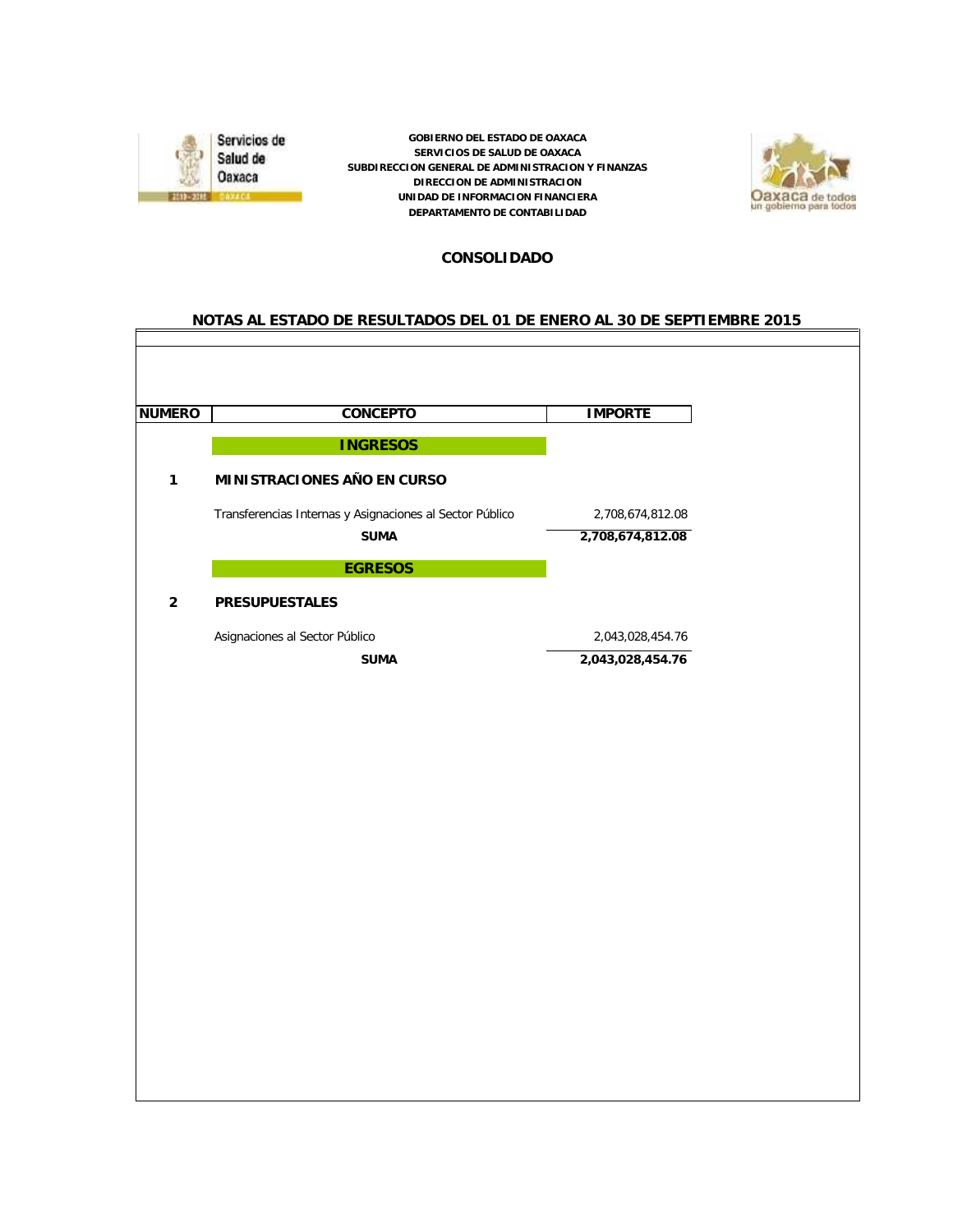

*GOBIERNO DEL ESTADO DE OAXACA SERVICIOS DE SALUD DE OAXACA SUBDIRECCION GENERAL DE ADMINISTRACION Y FINANZAS DIRECCION DE ADMINISTRACION UNIDAD DE INFORMACION FINANCIERA DEPARTAMENTO DE CONTABILIDAD*



#### *CONSOLIDADO*

#### *NOTAS AL ESTADO DE RESULTADOS DEL 01 DE ENERO AL 30 DE SEPTIEMBRE 2015*

| <b>NUMERO</b>  | CONCEPTO                                                         | <b>IMPORTE</b>                       |
|----------------|------------------------------------------------------------------|--------------------------------------|
|                | <b>INGRESOS</b>                                                  |                                      |
| $\mathbf{1}$   | MINISTRACIONES AÑO EN CURSO                                      |                                      |
|                | Transferencias Internas y Asignaciones al Sector Público<br>SUMA | 2,708,674,812.08<br>2,708,674,812.08 |
|                | <b>EGRESOS</b>                                                   |                                      |
| $\overline{2}$ | PRESUPUESTALES                                                   |                                      |
|                | Asignaciones al Sector Público                                   | 2,043,028,454.76                     |
|                | <b>SUMA</b>                                                      | 2,043,028,454.76                     |
|                |                                                                  |                                      |
|                |                                                                  |                                      |
|                |                                                                  |                                      |
|                |                                                                  |                                      |
|                |                                                                  |                                      |
|                |                                                                  |                                      |
|                |                                                                  |                                      |
|                |                                                                  |                                      |
|                |                                                                  |                                      |
|                |                                                                  |                                      |
|                |                                                                  |                                      |
|                |                                                                  |                                      |